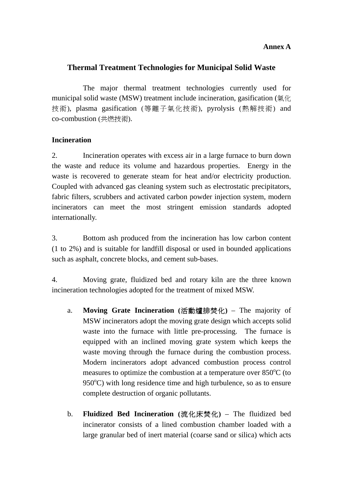### **Annex A**

## **Thermal Treatment Technologies for Municipal Solid Waste**

The major thermal treatment technologies currently used for municipal solid waste (MSW) treatment include incineration, gasification (氣化 技術), plasma gasification (等離子氣化技術), pyrolysis (熱解技術) and co-combustion (共燃技術).

### **Incineration**

2. Incineration operates with excess air in a large furnace to burn down the waste and reduce its volume and hazardous properties. Energy in the waste is recovered to generate steam for heat and/or electricity production. Coupled with advanced gas cleaning system such as electrostatic precipitators, fabric filters, scrubbers and activated carbon powder injection system, modern incinerators can meet the most stringent emission standards adopted internationally.

3. Bottom ash produced from the incineration has low carbon content (1 to 2%) and is suitable for landfill disposal or used in bounded applications such as asphalt, concrete blocks, and cement sub-bases.

4. Moving grate, fluidized bed and rotary kiln are the three known incineration technologies adopted for the treatment of mixed MSW.

- a. **Moving Grate Incineration (**活動爐排焚化**)**  The majority of MSW incinerators adopt the moving grate design which accepts solid waste into the furnace with little pre-processing. The furnace is equipped with an inclined moving grate system which keeps the waste moving through the furnace during the combustion process. Modern incinerators adopt advanced combustion process control measures to optimize the combustion at a temperature over  $850^{\circ}$ C (to 950°C) with long residence time and high turbulence, so as to ensure complete destruction of organic pollutants.
- b. **Fluidized Bed Incineration (**流化床焚化**)**  The fluidized bed incinerator consists of a lined combustion chamber loaded with a large granular bed of inert material (coarse sand or silica) which acts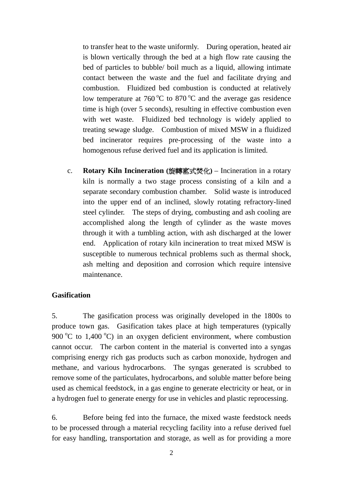to transfer heat to the waste uniformly. During operation, heated air is blown vertically through the bed at a high flow rate causing the bed of particles to bubble/ boil much as a liquid, allowing intimate contact between the waste and the fuel and facilitate drying and combustion. Fluidized bed combustion is conducted at relatively low temperature at  $760^{\circ}$ C to  $870^{\circ}$ C and the average gas residence time is high (over 5 seconds), resulting in effective combustion even with wet waste. Fluidized bed technology is widely applied to treating sewage sludge. Combustion of mixed MSW in a fluidized bed incinerator requires pre-processing of the waste into a homogenous refuse derived fuel and its application is limited.

 separate secondary combustion chamber. Solid waste is introduced steel cylinder. The steps of drying, combusting and ash cooling are c. **Rotary Kiln Incineration (**旋轉窰式焚化**)** – Incineration in a rotary kiln is normally a two stage process consisting of a kiln and a into the upper end of an inclined, slowly rotating refractory-lined accomplished along the length of cylinder as the waste moves through it with a tumbling action, with ash discharged at the lower end. Application of rotary kiln incineration to treat mixed MSW is susceptible to numerous technical problems such as thermal shock, ash melting and deposition and corrosion which require intensive maintenance.

#### **Gasification**

5. The gasification process was originally developed in the 1800s to produce town gas. Gasification takes place at high temperatures (typically 900  $\degree$ C to 1,400  $\degree$ C) in an oxygen deficient environment, where combustion cannot occur. The carbon content in the material is converted into a syngas comprising energy rich gas products such as carbon monoxide, hydrogen and methane, and various hydrocarbons. The syngas generated is scrubbed to remove some of the particulates, hydrocarbons, and soluble matter before being used as chemical feedstock, in a gas engine to generate electricity or heat, or in a hydrogen fuel to generate energy for use in vehicles and plastic reprocessing.

6. Before being fed into the furnace, the mixed waste feedstock needs to be processed through a material recycling facility into a refuse derived fuel for easy handling, transportation and storage, as well as for providing a more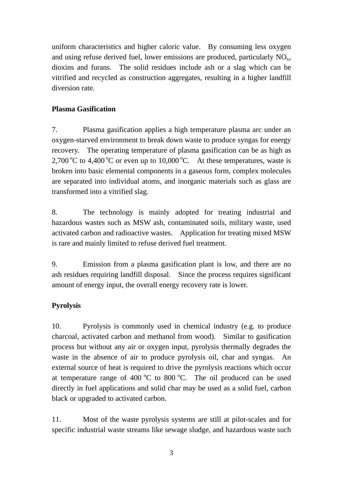uniform characteristics and higher caloric value. By consuming less oxygen and using refuse derived fuel, lower emissions are produced, particularly  $NO<sub>x</sub>$ , dioxins and furans. The solid residues include ash or a slag which can be vitrified and recycled as construction aggregates, resulting in a higher landfill diversion rate.

## **Plasma Gasification**

7. Plasma gasification applies a high temperature plasma arc under an oxygen-starved environment to break down waste to produce syngas for energy recovery. The operating temperature of plasma gasification can be as high as 2,700 °C to 4,400 °C or even up to 10,000 °C. At these temperatures, waste is broken into basic elemental components in a gaseous form, complex molecules are separated into individual atoms, and inorganic materials such as glass are transformed into a vitrified slag.

8. The technology is mainly adopted for treating industrial and hazardous wastes such as MSW ash, contaminated soils, military waste, used activated carbon and radioactive wastes. Application for treating mixed MSW is rare and mainly limited to refuse derived fuel treatment.

9. Emission from a plasma gasification plant is low, and there are no ash residues requiring landfill disposal. Since the process requires significant amount of energy input, the overall energy recovery rate is lower.

# **Pyrolysis**

10. Pyrolysis is commonly used in chemical industry (e.g. to produce charcoal, activated carbon and methanol from wood). Similar to gasification process but without any air or oxygen input, pyrolysis thermally degrades the waste in the absence of air to produce pyrolysis oil, char and syngas. An external source of heat is required to drive the pyrolysis reactions which occur at temperature range of 400  $^{\circ}$ C to 800  $^{\circ}$ C. The oil produced can be used directly in fuel applications and solid char may be used as a solid fuel, carbon black or upgraded to activated carbon.

11. Most of the waste pyrolysis systems are still at pilot-scales and for specific industrial waste streams like sewage sludge, and hazardous waste such